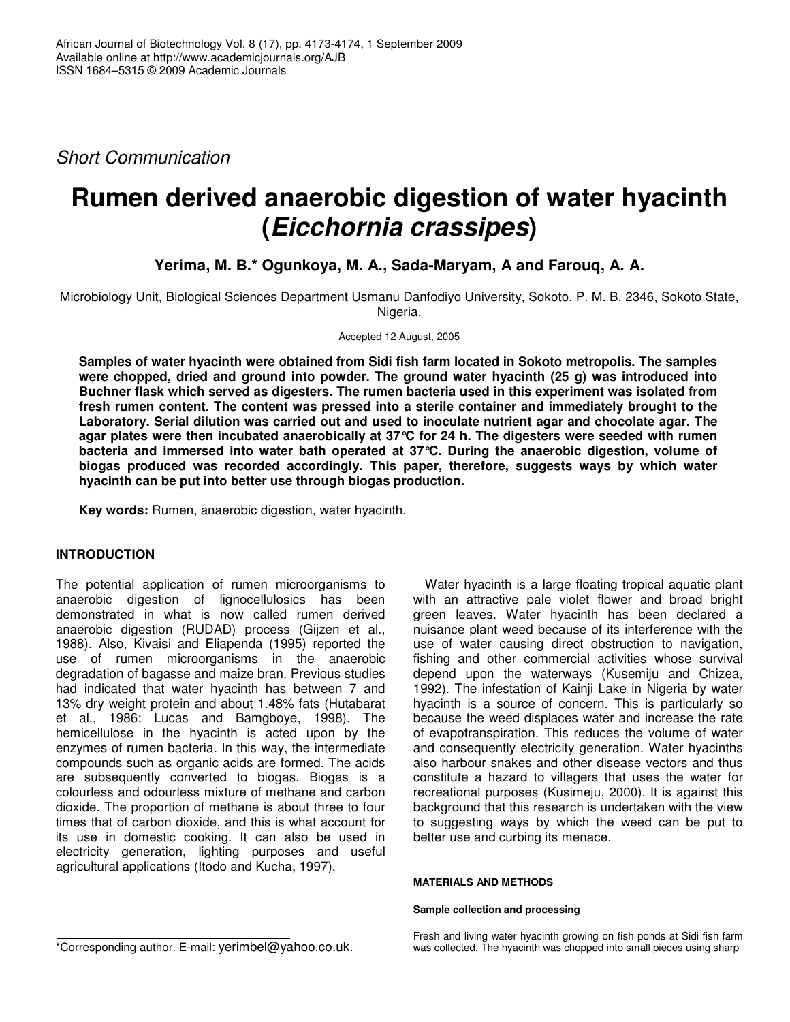*Short Communication*

# **Rumen derived anaerobic digestion of water hyacinth (***Eicchornia crassipes***)**

**Yerima, M. B.\* Ogunkoya, M. A., Sada-Maryam, A and Farouq, A. A.**

Microbiology Unit, Biological Sciences Department Usmanu Danfodiyo University, Sokoto. P. M. B. 2346, Sokoto State, Nigeria.

### Accepted 12 August, 2005

**Samples of water hyacinth were obtained from Sidi fish farm located in Sokoto metropolis. The samples were chopped, dried and ground into powder. The ground water hyacinth (25 g) was introduced into Buchner flask which served as digesters. The rumen bacteria used in this experiment was isolated from fresh rumen content. The content was pressed into a sterile container and immediately brought to the Laboratory. Serial dilution was carried out and used to inoculate nutrient agar and chocolate agar. The agar plates were then incubated anaerobically at 37°C for 24 h. The digesters were seeded with rumen bacteria and immersed into water bath operated at 37°C. During the anaerobic digestion, volume of biogas produced was recorded accordingly. This paper, therefore, suggests ways by which water hyacinth can be put into better use through biogas production.**

**Key words:** Rumen, anaerobic digestion, water hyacinth.

## **INTRODUCTION**

The potential application of rumen microorganisms to anaerobic digestion of lignocellulosics has been demonstrated in what is now called rumen derived anaerobic digestion (RUDAD) process (Gijzen et al., 1988). Also, Kivaisi and Eliapenda (1995) reported the use of rumen microorganisms in the anaerobic degradation of bagasse and maize bran. Previous studies had indicated that water hyacinth has between 7 and 13% dry weight protein and about 1.48% fats (Hutabarat et al., 1986; Lucas and Bamgboye, 1998). The hemicellulose in the hyacinth is acted upon by the enzymes of rumen bacteria. In this way, the intermediate compounds such as organic acids are formed. The acids are subsequently converted to biogas. Biogas is a colourless and odourless mixture of methane and carbon dioxide. The proportion of methane is about three to four times that of carbon dioxide, and this is what account for its use in domestic cooking. It can also be used in electricity generation, lighting purposes and useful agricultural applications (Itodo and Kucha, 1997).

Water hyacinth is a large floating tropical aquatic plant with an attractive pale violet flower and broad bright green leaves. Water hyacinth has been declared a nuisance plant weed because of its interference with the use of water causing direct obstruction to navigation, fishing and other commercial activities whose survival depend upon the waterways (Kusemiju and Chizea, 1992). The infestation of Kainji Lake in Nigeria by water hyacinth is a source of concern. This is particularly so because the weed displaces water and increase the rate of evapotranspiration. This reduces the volume of water and consequently electricity generation. Water hyacinths also harbour snakes and other disease vectors and thus constitute a hazard to villagers that uses the water for recreational purposes (Kusimeju, 2000). It is against this background that this research is undertaken with the view to suggesting ways by which the weed can be put to better use and curbing its menace.

## **MATERIALS AND METHODS**

### **Sample collection and processing**

\*Corresponding author. E-mail: yerimbel@yahoo.co.uk.

Fresh and living water hyacinth growing on fish ponds at Sidi fish farm was collected. The hyacinth was chopped into small pieces using sharp